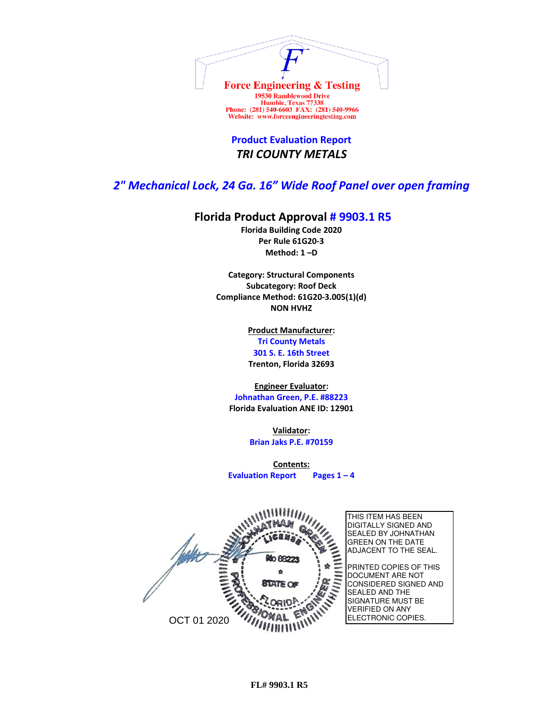

**Product Evaluation Report** *TRI COUNTY METALS*

## *2" Mechanical Lock, 24 Ga. 16" Wide Roof Panel over open framing*

## **Florida Product Approval # 9903.1 R5**

**Florida Building Code 2020 Per Rule 61G20-3 Method: 1 –D** 

**Category: Structural Components Subcategory: Roof Deck Compliance Method: 61G20-3.005(1)(d) NON HVHZ**

> **Product Manufacturer: Tri County Metals 301 S. E. 16th Street Trenton, Florida 32693**

**Engineer Evaluator:**

**Johnathan Green, P.E. #88223 Florida Evaluation ANE ID: 12901**

> **Validator: Brian Jaks P.E. #70159**

**Contents: Evaluation Report Pages 1 – 4**

THIS ITEM HAS BEEN DIGITALLY SIGNED AND SEALED BY JOHNATHAN GREEN ON THE DATE ADJACENT TO THE SEAL. **to 88225** PRINTED COPIES OF THIS DOCUMENT ARE NOT CONSIDERED SIGNED AND SEALED AND THE SIGNATURE MUST BE VERIFIED ON ANY ELECTRONIC COPIES. OCT 01 2020

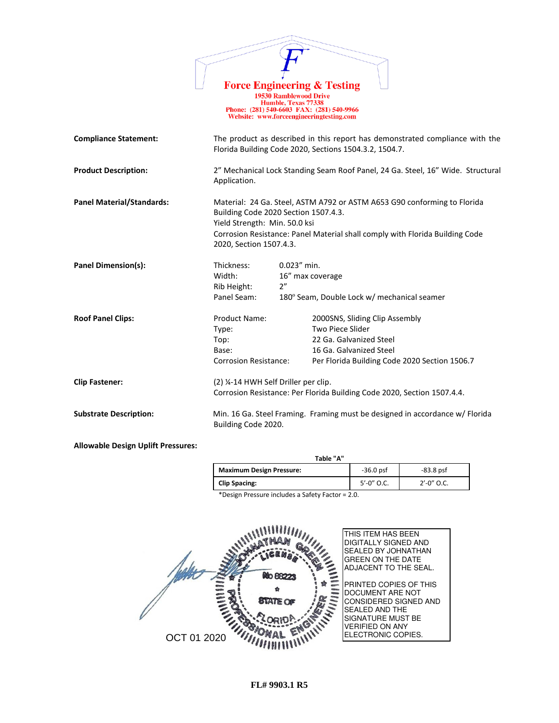|                                           | <b>Force Engineering &amp; Testing</b><br>Phone: (281) 540-6603 FAX: (281) 540-9966<br>Website: www.forceengineeringtesting.com                                                                                                                              | <b>19530 Ramblewood Drive</b><br>Humble, Texas 77338 |                                                                                                                                                           |
|-------------------------------------------|--------------------------------------------------------------------------------------------------------------------------------------------------------------------------------------------------------------------------------------------------------------|------------------------------------------------------|-----------------------------------------------------------------------------------------------------------------------------------------------------------|
| <b>Compliance Statement:</b>              | The product as described in this report has demonstrated compliance with the<br>Florida Building Code 2020, Sections 1504.3.2, 1504.7.                                                                                                                       |                                                      |                                                                                                                                                           |
| <b>Product Description:</b>               | Application.                                                                                                                                                                                                                                                 |                                                      | 2" Mechanical Lock Standing Seam Roof Panel, 24 Ga. Steel, 16" Wide. Structural                                                                           |
| <b>Panel Material/Standards:</b>          | Material: 24 Ga. Steel, ASTM A792 or ASTM A653 G90 conforming to Florida<br>Building Code 2020 Section 1507.4.3.<br>Yield Strength: Min. 50.0 ksi<br>Corrosion Resistance: Panel Material shall comply with Florida Building Code<br>2020, Section 1507.4.3. |                                                      |                                                                                                                                                           |
| Panel Dimension(s):                       | Thickness:<br>Width:<br>Rib Height:<br>Panel Seam:                                                                                                                                                                                                           | $0.023''$ min.<br>2"                                 | 16" max coverage<br>180° Seam, Double Lock w/ mechanical seamer                                                                                           |
| <b>Roof Panel Clips:</b>                  | Product Name:<br>Type:<br>Top:<br>Base:<br><b>Corrosion Resistance:</b>                                                                                                                                                                                      |                                                      | 2000SNS, Sliding Clip Assembly<br>Two Piece Slider<br>22 Ga. Galvanized Steel<br>16 Ga. Galvanized Steel<br>Per Florida Building Code 2020 Section 1506.7 |
| <b>Clip Fastener:</b>                     | (2) 1/4-14 HWH Self Driller per clip.<br>Corrosion Resistance: Per Florida Building Code 2020, Section 1507.4.4.                                                                                                                                             |                                                      |                                                                                                                                                           |
| <b>Substrate Description:</b>             | Building Code 2020.                                                                                                                                                                                                                                          |                                                      | Min. 16 Ga. Steel Framing. Framing must be designed in accordance w/ Florida                                                                              |
| <b>Allowable Design Uplift Pressures:</b> |                                                                                                                                                                                                                                                              |                                                      |                                                                                                                                                           |

 $\mathbb{Z}$ 

| Table "A"                       |                 |               |  |  |
|---------------------------------|-----------------|---------------|--|--|
| <b>Maximum Design Pressure:</b> | $-36.0$ psf     | $-83.8$ psf   |  |  |
| <b>Clip Spacing:</b>            | $5' - 0''$ O.C. | $2'$ -0" O.C. |  |  |

\*Design Pressure includes a Safety Factor = 2.0.

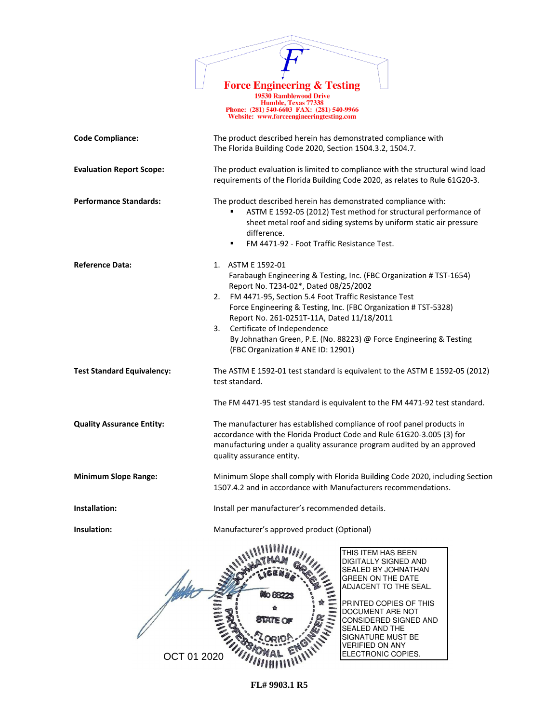

Force Engineering & Testing<br>
19530 Ramblewood Drive<br>
Humble, Texas 77338<br>
Phone: (281) 540-6603 FAX: (281) 540-9966<br>
Website: www.forceengineeringtesting.com

| <b>Code Compliance:</b>           | The product described herein has demonstrated compliance with<br>The Florida Building Code 2020, Section 1504.3.2, 1504.7.                                                                                                                                                                                                                                                                                                                                        |
|-----------------------------------|-------------------------------------------------------------------------------------------------------------------------------------------------------------------------------------------------------------------------------------------------------------------------------------------------------------------------------------------------------------------------------------------------------------------------------------------------------------------|
| <b>Evaluation Report Scope:</b>   | The product evaluation is limited to compliance with the structural wind load<br>requirements of the Florida Building Code 2020, as relates to Rule 61G20-3.                                                                                                                                                                                                                                                                                                      |
| <b>Performance Standards:</b>     | The product described herein has demonstrated compliance with:<br>ASTM E 1592-05 (2012) Test method for structural performance of<br>sheet metal roof and siding systems by uniform static air pressure<br>difference.<br>FM 4471-92 - Foot Traffic Resistance Test.<br>٠                                                                                                                                                                                         |
| <b>Reference Data:</b>            | 1. ASTM E 1592-01<br>Farabaugh Engineering & Testing, Inc. (FBC Organization # TST-1654)<br>Report No. T234-02*, Dated 08/25/2002<br>FM 4471-95, Section 5.4 Foot Traffic Resistance Test<br>2.<br>Force Engineering & Testing, Inc. (FBC Organization # TST-5328)<br>Report No. 261-0251T-11A, Dated 11/18/2011<br>Certificate of Independence<br>3.<br>By Johnathan Green, P.E. (No. 88223) @ Force Engineering & Testing<br>(FBC Organization # ANE ID: 12901) |
| <b>Test Standard Equivalency:</b> | The ASTM E 1592-01 test standard is equivalent to the ASTM E 1592-05 (2012)<br>test standard.<br>The FM 4471-95 test standard is equivalent to the FM 4471-92 test standard.                                                                                                                                                                                                                                                                                      |
| <b>Quality Assurance Entity:</b>  | The manufacturer has established compliance of roof panel products in<br>accordance with the Florida Product Code and Rule 61G20-3.005 (3) for<br>manufacturing under a quality assurance program audited by an approved<br>quality assurance entity.                                                                                                                                                                                                             |
| <b>Minimum Slope Range:</b>       | Minimum Slope shall comply with Florida Building Code 2020, including Section<br>1507.4.2 and in accordance with Manufacturers recommendations.                                                                                                                                                                                                                                                                                                                   |
| Installation:                     | Install per manufacturer's recommended details.                                                                                                                                                                                                                                                                                                                                                                                                                   |
| Insulation:                       | Manufacturer's approved product (Optional)                                                                                                                                                                                                                                                                                                                                                                                                                        |
|                                   | THIS ITEM HAS BEEN<br>DIGITALLY SIGNED AND<br>SEALED BY JOHNATHAN<br><b>GREEN ON THE DATE</b><br>ADJACENT TO THE SEAL.<br>PRINTED COPIES OF THIS<br>DOCUMENT ARE NOT<br>STATE O<br>CONSIDERED SIGNED AND<br>SEALED AND THE<br>SIGNATURE MUST BE<br>VERIFIED ON ANY<br>ELECTRONIC COPIES.<br>OCT 01 2020                                                                                                                                                           |

**FL# 9903.1 R5**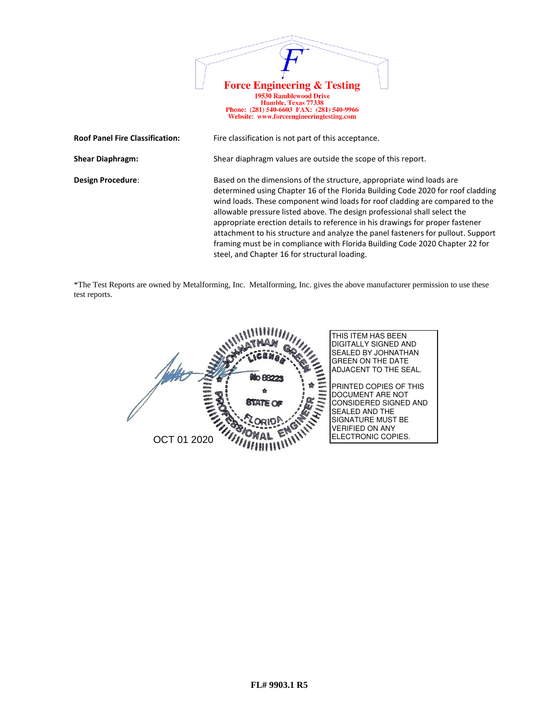

\*The Test Reports are owned by Metalforming, Inc. Metalforming, Inc. gives the above manufacturer permission to use these test reports.

steel, and Chapter 16 for structural loading.